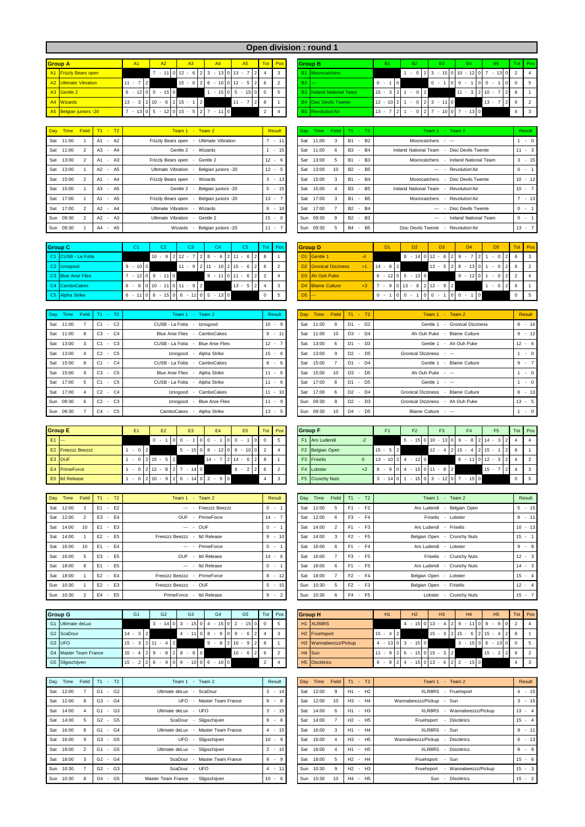| Open division: round 1 |
|------------------------|

| <b>Group A</b>         | <b>A1</b>                                                                                                                                                                   | A2. | A3                                             |  | A <sub>4</sub> | A <sub>5</sub>      |        | <b>Tot</b> Pos |  |          | <b>Group B</b>                  | <b>B1</b>        |                | <b>B2</b>                                     |  | B <sub>3</sub> |  |                       | <b>B4</b> |                |          | <b>B5</b> |            | Tot Pos    |                           |
|------------------------|-----------------------------------------------------------------------------------------------------------------------------------------------------------------------------|-----|------------------------------------------------|--|----------------|---------------------|--------|----------------|--|----------|---------------------------------|------------------|----------------|-----------------------------------------------|--|----------------|--|-----------------------|-----------|----------------|----------|-----------|------------|------------|---------------------------|
| A1 Frizzly Bears open  |                                                                                                                                                                             |     | $-11$ 0 12 $-6$ 2 3 $-13$ 0 13 $-7$            |  |                |                     | $12$ 4 |                |  |          | B1 Mooncatchers                 |                  |                | $-0$  2 3 $-15$  0 10 $-12$  0 7 $-13$  0 2 4 |  |                |  |                       |           |                |          |           |            |            |                           |
| A2 Ultimate Vibration  | $11 - 7$                                                                                                                                                                    |     | $15 - 0$   2   6 $- 10$   0   12 $- 5$   2   6 |  |                |                     |        |                |  | $B2$ $-$ |                                 | $0 - 1$          | $\overline{0}$ |                                               |  | $0 -$          |  | $0 \times 1$          |           | 0 <sub>0</sub> | $\sim$   |           | $\Omega$   | $0 \mid 5$ |                           |
| A3 Gentle 2            | $6 - 12$ 0 0 $- 15$ 0                                                                                                                                                       |     |                                                |  |                | $-15$ 0 5 $-15$ 0 0 |        |                |  |          | <b>B3</b> Ireland National Team | $15 - 3$ 2 1     |                | $-0$ 2                                        |  |                |  | $11 - 3$   2   10 - 7 |           |                |          |           | $2 \mid 8$ |            |                           |
| A4 Wizards             | $13 - 3 \mid 2 \mid 10 - 6 \mid 2 \mid 15 -$                                                                                                                                |     |                                                |  |                | $11 - 7$            |        |                |  |          | <b>B4</b> Disc Devils Twente    | $12 - 10$   2  1 |                | $1 - 01213 - 1110$                            |  |                |  |                       |           |                | $13 - 7$ |           |            |            | $^{\circ}$                |
| A5 Belgian juniors -20 | $7 - 13 \begin{bmatrix} 0 & 5 & -12 \end{bmatrix} \begin{bmatrix} 0 & 15 & -5 \end{bmatrix} \begin{bmatrix} 2 & 7 & -11 \end{bmatrix} \begin{bmatrix} 0 & 15 \end{bmatrix}$ |     |                                                |  |                |                     |        |                |  |          | <b>B5</b> Revolution'Air        | $13 - 7$         | ' I 2 I 1      | $-0$ 2 7 $-10$ 0 7 $-13$ 0                    |  |                |  |                       |           |                |          |           |            |            | $\overline{\phantom{a}3}$ |

| Day Time  | Field | $T1 - T2$ | Team 1 - Team 2                                     | Result   | Dav | Time      | Field | $T1 - T2$                                               | Team 1 - Team 2                             | Result   |
|-----------|-------|-----------|-----------------------------------------------------|----------|-----|-----------|-------|---------------------------------------------------------|---------------------------------------------|----------|
| Sat 11:00 |       | $A1 - A2$ | Ultimate Vibration<br>Frizzly Bears open<br>$\sim$  | $-11$    | Sat | 11:00     |       | <b>B2</b><br><b>B1</b><br>$\overline{\phantom{a}}$      | Mooncatchers - ---                          | $\sim$ 0 |
| Sat 11:00 |       | A3 - A4   | Gentle 2 - Wizards                                  | $-15$    | Sat | 11:00     |       | <b>B4</b><br><b>B3</b><br>$\overline{a}$                | Ireland National Team - Disc Devils Twente  | $11 - 3$ |
| Sat 13:00 |       | $A1 - A3$ | Frizzly Bears open - Gentle 2                       | $12 - 6$ | Sat | 13:00     |       | B <sub>3</sub><br><b>B1</b><br>$\sim$                   | Mooncatchers - Ireland National Team        | $3 - 1$  |
| Sat 13:00 |       | A2 - A5   | Ultimate Vibration<br>Belgian juniors -20<br>$\sim$ | $12 - 5$ | Sat | 13:00     | 10    | B <sub>2</sub> - B <sub>5</sub>                         | --- - Revolution'Air                        | $0 -$    |
| Sat 15:00 |       | A1 - A4   | Frizzly Bears open - Wizards                        | $3 - 13$ | Sat | 15:00     |       | $-B4$<br><b>B1</b>                                      | Mooncatchers - Disc Devils Twente           | $10 - 1$ |
| Sat 15:00 |       | A3 - A5   | Belgian juniors -20<br>Gentle 2<br>. .              | $5 - 15$ | Sat | 15:00     |       | B <sub>5</sub><br>B <sub>3</sub><br>$\sim$              | Ireland National Team<br>- Revolution'Air   | $10 - 7$ |
| Sat 17:00 |       | A1 - A5   | Belgian juniors -20<br>Frizzly Bears open           | $13 -$   | Sat | 17:00     |       | <b>B5</b><br><b>B1</b><br>$\overline{\phantom{a}}$      | Mooncatchers - Revolution'Air               | $7 - 1$  |
| Sat 17:00 |       | A2 - A4   | Ultimate Vibration - Wizards                        | $6 - 10$ | Sat | 17:00     |       | <b>B4</b><br>$B2 -$                                     | --- - Disc Devils Twente                    | $0 -$    |
| Sun 09:30 |       | $A2 - A3$ | Ultimate Vibration - Gentle 2                       | $15 - 0$ |     | Sun 09:30 | 9     | <b>B2</b><br>B <sub>3</sub><br>$\sim$                   | --- - Ireland National Team                 | $0 -$    |
| Sun 09:30 |       | A4 - A5   | Belgian juniors -20<br>Wizards                      | $11 -$   | Sun | 09:30     |       | <b>B4</b><br>B <sub>5</sub><br>$\overline{\phantom{a}}$ | <b>Disc Devils Twente</b><br>Revolution'Air | $13 - 7$ |

| <b>Group C</b>          | C <sub>1</sub> | C2                                    | C <sub>3</sub>               | C <sub>4</sub>                              | C <sub>5</sub> |            | Tot Pos |          | <b>Group D</b>                    | D <sub>1</sub> | D <sub>2</sub>                    | D <sub>3</sub>                                    | D <sub>4</sub>              | D <sub>5</sub>         | Tot Pos    |                           |
|-------------------------|----------------|---------------------------------------|------------------------------|---------------------------------------------|----------------|------------|---------|----------|-----------------------------------|----------------|-----------------------------------|---------------------------------------------------|-----------------------------|------------------------|------------|---------------------------|
| C1 CUSB - La Fotta      |                |                                       | $10 - 9$ 2 12 - 7 2 8 - 6    |                                             | $2 \t11 - 6$   | $2$ 8      |         |          | D1 Gentle 1                       |                |                                   | $8 - 14 \cdot 0 \cdot 12 - 6 \cdot 2 \cdot 9 - 7$ | $^{\prime}$ 21              | 2 I<br>$-0$            | 6          | $\overline{\phantom{a}3}$ |
| C <sub>2</sub> Iznogood | $-100$<br>-9   |                                       |                              | $11 - 9$   2   11 - 10   2   15 - 6   .     |                | $2 \mid 6$ |         |          | D <sub>2</sub> Gronical Dizziness | $14 - 8$<br>2  |                                   | $13 - 5$ 2 8                                      | $-13$ 0 1                   | $-0$<br>21             |            | $\overline{2}$            |
| C3 Blue Arse Flies      |                | $7 - 12 \cdot 0 \cdot 9 - 11 \cdot 0$ |                              | $9 - 11$                                    | $0 \t11 - 6$   | $2 \mid 2$ |         |          | D <sub>3</sub> Ah Ouh Puke        |                | $6 - 12 \cdot 0 = 5 - 13 \cdot 0$ |                                                   | $9 - 12$ 0 1                | 2 <sup>1</sup><br>$-0$ |            |                           |
| C4 CamboCakes           |                |                                       | $6 - 8$ 0 10 - 11 0 11 - 9 2 |                                             | $13 - 5$ 2 4   |            |         |          | D4 Blame Culture                  |                |                                   | $7 - 9$ 0 13 - 8 2 12 - 9 2                       |                             | 21<br>$-0$             | 6          |                           |
| C5 Alpha Strike         |                |                                       |                              | $6 - 11$ 0 6 $- 15$ 0 6 $- 11$ 0 5 $- 13$ 0 |                |            |         | $DS$ $-$ |                                   | $0 - 1$        | $00 -$                            | $0 0 - 1$                                         | $\overline{0}$<br>$0 0 - 1$ |                        | $0 \mid 5$ |                           |

| Day Time  | Field | $T1 - T2$                      | Team 1 - Team 2                        | Result    |     | Day Time  |    | Field $T1 - T2$                            | Team 1 - Team 2                                   | <b>Result</b> |
|-----------|-------|--------------------------------|----------------------------------------|-----------|-----|-----------|----|--------------------------------------------|---------------------------------------------------|---------------|
| Sat 11:00 |       | C <sub>2</sub><br>C1<br>$\sim$ | CUSB - La Fotta - Iznogood             | $10 - 9$  | Sat | 11:00     | 9  | D <sub>2</sub><br>D <sub>1</sub><br>$\sim$ | Gentle 1 - Gronical Dizziness                     | $8 + 1$       |
| Sat 11:00 |       | $-C4$<br>C <sub>3</sub>        | - CamboCakes<br><b>Blue Arse Flies</b> | $9 - 11$  | Sat | 11:00     | 10 | $D3 - D4$                                  | Ah Ouh Puke - Blame Culture                       | $9 - 1$       |
| Sat 13:00 |       | $C1 - C3$                      | CUSB - La Fotta - Blue Arse Flies      | $12 -$    | Sat | 13:00     | 6  | $-D3$<br>D <sub>1</sub>                    | Gentle 1 - Ah Ouh Puke                            | $12 - 6$      |
| Sat 13:00 |       | $C2 - C5$                      | Iznogood - Alpha Strike                | $15 - 6$  | Sat | 13:00     | 9  | $D2 - D5$                                  | Gronical Dizziness - ---                          | $\sim$ 0      |
| Sat 15:00 |       | $C1 - C4$                      | CUSB - La Fotta - CamboCakes           | 8<br>$-6$ | Sat | 15:00     |    | $D1 - D4$                                  | Gentle 1 - Blame Culture                          | $9 - 7$       |
| Sat 15:00 |       | $C3 - C5$                      | Blue Arse Flies - Alpha Strike         | $11 - 6$  | Sat | 15:00     | 10 | $D3 - D5$                                  | Ah Ouh Puke - ---                                 | $\sim$ 0      |
| Sat 17:00 |       | $C1 - C5$                      | CUSB - La Fotta - Alpha Strike         | $11 - 6$  | Sat | 17:00     | 8  | $D1 - D5$                                  | Gentle 1 - ---                                    | $\sim$ 0      |
| Sat 17:00 |       | $C2 - C4$                      | CamboCakes<br>Iznogood<br>$\sim$       | $11 - 10$ | Sat | 17:00     | 6  | $D2 - D4$                                  | <b>Gronical Dizziness</b><br><b>Blame Culture</b> | $8 - 1$       |
| Sun 09:30 |       | $C2 - C3$                      | Iznogood - Blue Arse Flies             | $11 - 9$  |     | Sun 09:30 | 8  | $D2 - D3$                                  | Gronical Dizziness - Ah Ouh Puke                  | $13 - 5$      |
| Sun 09:30 |       | $C4 - C5$                      | CamboCakes - Alpha Strike              | $13 - 5$  |     | Sun 09:30 | 10 | $-D5$<br>D <sub>4</sub>                    | Blame Culture - ---                               | $\sim$ 0      |

|      | <b>Group E</b>           | F <sub>1</sub> |          | E2         | E <sub>3</sub>                | E <sub>4</sub>                                 | E <sub>5</sub>  |      | Tot Pos | <b>Group F</b> |                         | F <sub>1</sub> | F <sub>2</sub> | F <sub>3</sub>                      | F4                                     | F5.          | Tot Pos    |                |
|------|--------------------------|----------------|----------|------------|-------------------------------|------------------------------------------------|-----------------|------|---------|----------------|-------------------------|----------------|----------------|-------------------------------------|----------------------------------------|--------------|------------|----------------|
| E1 - |                          |                | $\Omega$ |            | 0 <sup>0</sup>                | 0 <sub>0</sub><br>$\sim$                       | 0 <sub>0</sub>  | OL 0 |         |                | F1 Ars Ludendi          |                | - 5            | $-15$ 0 10 $-13$ 0 9 $-8$ 2 14 $-3$ |                                        | 2            |            |                |
|      | <b>E2</b> Freezzz Beezzz | $-0$ 2         |          |            |                               | $5 - 15$   0   8 $- 12$   0   9 $- 10$   0   2 |                 |      |         |                | F2 Belgian Open         | $15 - 5$ 2     |                |                                     | $12 - 4$   2   15 $-$ 4   2   15 $-$ 1 | 2 L          |            |                |
|      | E3 OUF                   | $-0$ 2 15 $-$  |          | $5 \mid 2$ |                               | $14 - 7$                                       | $7 2 14 - 6 28$ |      |         |                | F <sub>3</sub> Friselis | $13 - 1024$    | $-120$         |                                     | $8 - 11$ 0 12 - 3                      | $\mathbf{2}$ |            | $\overline{2}$ |
|      | E4 PrimeForce            |                |          |            | $-0$  2 12 $-8$  2 7 $-14$  0 |                                                | $9 - 2$   2   6 |      |         |                | F4 Lobster              |                |                | $8 - 9$ 0 4 - 15 0 11 - 8 2         |                                        | $15 - 7$     |            | 3              |
|      | E5 Itd Release           |                |          |            |                               | $-0$  2 10 $-9$  2 6 $-14$  0 2 $-9$  0        |                 |      |         |                | F5 Crunchy Nuts         | $3 - 14011$    |                | $-15$ 0 3 - 12 0 7                  | $-150$                                 |              | $0 \mid 5$ |                |

|     | Day Time  | Field           | $T1 - T2$                                        | Team 1 - Team 2              |                      | Result   | Day | Time      | Field      | $T1 - T2$ | Team 1 - Team 2             | Result   |
|-----|-----------|-----------------|--------------------------------------------------|------------------------------|----------------------|----------|-----|-----------|------------|-----------|-----------------------------|----------|
|     | Sat 12:00 |                 | $E1 - E2$                                        |                              | --- - Freezzz Beezzz | $0 -$    | Sat | 12:00     |            | $F1 - F2$ | Ars Ludendi - Belgian Open  | $5 - 1$  |
|     | Sat 12:00 |                 | $-E4$<br>E <sub>3</sub>                          |                              | OUF - PrimeForce     | $14 -$   | Sat | 12:00     | 6          | F3 - F4   | Friselis - Lobster          | $8 - 1$  |
|     | Sat 14:00 | 10              | $-E3$<br>F <sub>1</sub>                          |                              | $- - 0$ UF           | $0 -$    | Sat | 14:00     |            | $F1 - F3$ | Ars Ludendi - Friselis      | $10 - 1$ |
|     | Sat 14:00 |                 | $E2 - E5$                                        | Freezzz Beezzz - Itd Release |                      | $9 - 10$ |     | Sat 14:00 | 3          | $F2 - F5$ | Belgian Open - Crunchy Nuts | $15 - 1$ |
| Sat | 16:00     | 10 <sup>1</sup> | $E1 - E4$                                        |                              | --- - PrimeForce     | $0 -$    | Sat | 16:00     | $\epsilon$ | $F1 - F4$ | Ars Ludendi - Lobster       | $9 - 8$  |
|     | Sat 16:00 |                 | $-E5$<br>E <sub>3</sub>                          |                              | OUF - Itd Release    | $14 - 6$ | Sat | 16:00     |            | F3 - F5   | Friselis - Crunchy Nuts     | $12 - 3$ |
|     | Sat 18:00 |                 | F5<br>F <sub>1</sub><br>$\overline{\phantom{a}}$ |                              | --- - Itd Release    | $0 -$    | Sat | 18:00     | 6          | $F1 - F5$ | Ars Ludendi - Crunchy Nuts  | $14 - 3$ |
|     | Sat 18:00 |                 | $E2 - E4$                                        | Freezzz Beezzz - PrimeForce  |                      | $8 - 12$ |     | Sat 18:00 |            | $F2 - F4$ | Belgian Open - Lobster      | $15 - 4$ |
|     | Sun 10:30 |                 | $E2 - E3$                                        | Freezzz Beezzz - OUF         |                      | $5 - 15$ |     | Sun 10:30 | -5         | $F2 - F3$ | Belgian Open - Friselis     | $12 - 4$ |
|     | Sun 10:30 |                 | E <sub>5</sub><br>E4<br>$\sim$                   | PrimeForce - Itd Release     |                      | $9 - 2$  |     | Sun 10:30 | 6          | F4 - F5   | Lobster - Crunchy Nuts      | $15 - 7$ |

| <b>Group G</b>        | G1                 | G <sub>2</sub>                     | G <sub>3</sub>          | G <sub>4</sub>        | G <sub>5</sub>                                |               | Tot Pos |  | <b>Group H</b>            | H1           |                   | H <sub>2</sub>    | H3                                     | H4                                                           | H <sub>5</sub>            | Tot Pos |                |
|-----------------------|--------------------|------------------------------------|-------------------------|-----------------------|-----------------------------------------------|---------------|---------|--|---------------------------|--------------|-------------------|-------------------|----------------------------------------|--------------------------------------------------------------|---------------------------|---------|----------------|
| G1 Ultimate deLux     |                    |                                    |                         |                       | $3 - 14$ 0 $3 - 15$ 0 $4 - 15$ 0 $2 - 15$ 0 0 |               |         |  | H <sub>1</sub> XLR8RS     |              |                   |                   |                                        | $4 - 15 \times 13 - 4 \times 2 = 9 - 11 \times 8$            | $-9$<br>$\Omega$          |         |                |
| G2 ScaDour            | $14 - 3$ 2         |                                    | $4 - 1108$              | $-9$                  | $0 \t9 - 6$                                   | $2 \mid 4$    |         |  | H <sub>2</sub> Fruehsport | $15 - 4$   2 |                   |                   |                                        | $15 - 3$   2   15 - 6   2   15 - 4                           |                           | $2$ 8   |                |
| G3 UFO                |                    | $15 - 3 \mid 2 \mid 11 - 4 \mid 2$ |                         |                       | $9 - 8$   2   10 $- 9$   2   8                |               |         |  | H3 Wannabeezzz/Pickup     |              |                   | $4 - 13013 - 150$ |                                        |                                                              | $3 - 15$ 0 6 $- 13$ 0 0 5 |         |                |
| G4 Master Team France | $15 - 4$   2   9 - |                                    | $8 \ 2 \ 8 \ - \ 9 \ 0$ |                       | $10 - 6$                                      | $2 \mid 6$    |         |  | $H4$ Sun                  |              |                   |                   | $11 - 9$   2   6 - 15   0   15 - 3   2 |                                                              | $15 - 2$                  |         | $\overline{2}$ |
| G5 Slijpschijven      | $15 - 2$   2   6 - |                                    |                         | $0$ 9 - 10 0 6 - 10 0 |                                               | $\mathcal{D}$ |         |  | H <sub>5</sub> Disctèrics | 9 -          | $8 \mid 2 \mid 4$ | $\sim$            |                                        | $15 \begin{bmatrix} 0 & 13 & -6 & 2 & 2 & -15 \end{bmatrix}$ |                           |         |                |

| Day Time  | Field | $T1 - T2$                | Team 1 - Team 2                |                                     | Result            |     | Day Time | Field | $T1 - T2$                       |                                 | Team 1 - Team 2                 | Result   |
|-----------|-------|--------------------------|--------------------------------|-------------------------------------|-------------------|-----|----------|-------|---------------------------------|---------------------------------|---------------------------------|----------|
| Sat 12:00 |       | $G1 - G2$                | Ultimate deLux - ScaDour       |                                     | $3 - 14$          | Sat | 12:00    | 9     |                                 | H1 - H2                         | XLR8RS - Fruehsport             | $4 - 1$  |
| Sat 12:00 |       | $G3 - G4$                |                                | UFO - Master Team France            | 9<br>-8<br>$\sim$ | Sat | 12:00    | 10    | H3 - H4                         |                                 | Wannabeezzz/Pickup - Sun        | $3 - 1$  |
| Sat 14:00 |       | $G1 - G3$                | Ultimate deLux - UFO           |                                     | 3<br>$-15$        | Sat | 14:00    | 6     | H1 - H3                         |                                 | XLR8RS - Wannabeezzz/Pickup     | $13 - 4$ |
| Sat 14:00 |       | $G2 - G5$                | ScaDour<br>$\sim$              | Slijpschijven                       | 9<br>$-6$         | Sat | 14:00    |       | H <sub>2</sub> - H <sub>5</sub> |                                 | Fruehsport - Disctèrics         | $15 - 4$ |
| Sat 16:00 |       | $G1 - G4$                |                                | Ultimate deLux - Master Team France | $4 - 15$          | Sat | 16:00    |       | H1 - H4                         |                                 | XLR8RS - Sun                    | $9 - 1$  |
| Sat 16:00 |       | $G3 - G5$                | UFO<br>$\sim$                  | Slijpschijven                       | $10 - 9$          | Sat | 16:00    |       | H3 - H5                         |                                 | Wannabeezzz/Pickup - Disctèrics | $6 - 1$  |
| Sat 18:00 |       | $G1 -$<br>G5             | Ultimate deLux - Slijpschijven |                                     | $2 - 15$          | Sat | 18:00    |       | H1 - H5                         |                                 | XLR8RS - Disctèrics             | $8 - 9$  |
| Sat 18:00 |       | $G2 -$<br>G <sub>4</sub> |                                | ScaDour - Master Team France        | 8<br>-9<br>$\sim$ | Sat | 18:00    |       |                                 | H <sub>2</sub> - H <sub>4</sub> | Fruehsport - Sun                | $15 - 6$ |
| Sun 10:30 |       | $G2 - G3$                | ScaDour - UFO                  |                                     | $4 - 11$          | Sun | 10:30    | 9     | H <sub>2</sub> - H <sub>3</sub> |                                 | Fruehsport - Wannabeezzz/Pickup | $15 - 3$ |
| Sun 10:30 |       | G4 - G5                  | Master Team France             | Slijpschijven                       | $10 - 6$          | Sun | 10:30    | 10    | H4 - H5                         |                                 | - Disctèrics<br>Sun             | $15 - 2$ |

|                | <b>Group B</b>               | B <sub>1</sub>            |               |   | <b>B2</b> |                |          | B <sub>3</sub>           |          |          | <b>B4</b>   |          |          | <b>B5</b>                |                | <b>Tot</b>     | Pos.           |
|----------------|------------------------------|---------------------------|---------------|---|-----------|----------------|----------|--------------------------|----------|----------|-------------|----------|----------|--------------------------|----------------|----------------|----------------|
| B <sub>1</sub> | <b>Mooncatchers</b>          |                           |               | ٠ | $\Omega$  | $\mathcal{P}$  | 3        | 15<br>$\blacksquare$     |          | $010 -$  | 12          | $\Omega$ |          | 13<br>٠                  | $\Omega$       | $\mathfrak{p}$ | 4              |
| <b>B2</b>      | $-$                          | $\Omega$<br>$\sim$        | $\Omega$      |   |           |                | $\Omega$ | $\overline{\phantom{a}}$ | $\Omega$ | $\Omega$ | $\sim$      | $\Omega$ | $\Omega$ | ٠                        | 0              | $\Omega$       | 5              |
| B <sub>3</sub> | <b>Ireland National Team</b> | $15 -$<br>$\overline{3}$  | $\mathcal{P}$ |   | $-0$      | $\mathfrak{p}$ |          |                          |          | 11       | 3<br>$\sim$ | 2        | 10       | $\overline{7}$<br>$\sim$ | $\mathcal{P}$  | 8              |                |
| <b>B4</b>      | Disc Devils Twente           | $12 -$<br>10 <sup>1</sup> | $\mathcal{P}$ | ٠ | $\Omega$  | $\mathfrak{p}$ | 3        | $-110$                   |          |          |             |          | 13       | $\sim$                   | $\mathfrak{p}$ | 6              | $\mathfrak{p}$ |
| <b>B5</b>      | <b>Revolution'Air</b>        | 13<br>$\overline{7}$<br>٠ | $\mathcal{D}$ | ÷ | $\Omega$  | $\mathfrak{D}$ |          | 10 <sup>1</sup><br>٠     | $\Omega$ |          | $\sim$      | $13$ 0   |          |                          |                | 4              | з              |

| Day Time     | Field | $T1 - T2$                      | Team 1 - Team 2                                | <b>Result</b>         | Dav | Time      | Field | $T1 - T2$                        | Team 1 - Team 2                                                    | Result    |
|--------------|-------|--------------------------------|------------------------------------------------|-----------------------|-----|-----------|-------|----------------------------------|--------------------------------------------------------------------|-----------|
| Sat 11:00    |       | A2<br>A <sub>1</sub><br>$\sim$ | - Ultimate Vibration<br>Frizzly Bears open     | $-11$                 | Sat | 11:00     |       | <b>B1</b><br><b>B2</b><br>$\sim$ | Mooncatchers - ---                                                 | $-0$      |
| Sat 11:00    |       | $-A4$<br>A3                    | Wizards<br>Gentle 2 -                          | $-15$                 |     | Sat 11:00 |       | B3 - B4                          | Ireland National Team<br>Disc Devils Twente<br>$\sim$              | $11 - 3$  |
| Sat<br>13:00 |       | $- A3$<br>A <sub>1</sub>       | Frizzly Bears open<br>- Gentle 2               | $12 - 6$              | Sat | 13:00     |       | <b>B1</b><br>$-B3$               | - Ireland National Team<br>Mooncatchers                            | $3 - 15$  |
| Sat<br>13:00 |       | A2<br>- A5                     | Ultimate Vibration<br>Belgian juniors -20      | $12 -$<br>5           | Sat | 13:00     | 10    | B <sub>2</sub> - B <sub>5</sub>  | Revolution'Air<br><b>Contract Contract</b>                         | $0 - 1$   |
| Sat<br>15:00 |       | $- A4$<br>A1                   | Frizzly Bears open<br>Wizards<br>$\sim$        | $-13$<br>$\mathbf{3}$ | Sat | 15:00     |       | <b>B1</b><br>- B4                | - Disc Devils Twente<br>Mooncatchers                               | $10 - 12$ |
| Sat 15:00    |       | - A5<br>A3                     | Belgian juniors -20<br>Gentle 2 -              | 5<br>$-15$            | Sat | 15:00     |       | B3 - B5                          | Ireland National Team<br>Revolution'Air<br>$\sim$                  | $10 - 7$  |
| Sat 17:00    |       | A1 - A5                        | Frizzly Bears open<br>Belgian juniors -20      | $13 -$                |     | Sat 17:00 |       | <b>B1</b><br><b>B5</b><br>$\sim$ | Mooncatchers<br>Revolution'Air<br>$\sim$                           | $7 - 13$  |
| Sat 17:00    |       | $- A4$<br>A2                   | <b>Ultimate Vibration</b><br>Wizards<br>$\sim$ | 6<br>$-10$            | Sat | 17:00     |       | B <sub>2</sub> - B <sub>4</sub>  | Disc Devils Twente<br>$\overline{\phantom{a}}$                     | $0 -$     |
| Sun 09:30    |       | A2<br>$- A3$                   | Ultimate Vibration<br>Gentle 2<br>$\sim$       | $15 - 0$              |     | Sun 09:30 |       | B <sub>2</sub> - B <sub>3</sub>  | <b>Ireland National Team</b><br>$\overline{\phantom{a}}$<br>$\sim$ | $0 - 1$   |
| Sun 09:30    |       | - A <sub>5</sub><br>A4         | Belgian juniors -20<br>Wizards<br>$\sim$       | $11 -$                | Sun | 09:30     |       | B4 - B5                          | Disc Devils Twente<br>- Revolution'Air                             | $13 - 7$  |

| <b>Group D</b> |                           |      |                            | D <sub>1</sub> |                |    | D <sub>2</sub>                 |               |          | D <sub>3</sub> |   |                |          |                          | D <sub>4</sub> |          | D <sub>5</sub> |          |                | Tot            | Pos            |
|----------------|---------------------------|------|----------------------------|----------------|----------------|----|--------------------------------|---------------|----------|----------------|---|----------------|----------|--------------------------|----------------|----------|----------------|----------|----------------|----------------|----------------|
| D <sub>1</sub> | Gentle 1                  | $-4$ |                            |                |                | 8  | 14<br>$\overline{\phantom{a}}$ | $\Omega$      | 12       | $\sim$         | 6 | 2 <sup>1</sup> | 9        | ٠                        |                | 2        | ٠              | $\Omega$ | $\mathfrak{D}$ | 6              | 3              |
| D <sub>2</sub> | <b>Gronical Dizziness</b> | $+1$ | 14<br>$\sim$               | 8              | $\overline{2}$ |    |                                |               | 13       | $\sim$         | 5 | $\overline{2}$ | 8        | $\overline{\phantom{a}}$ | 13             |          | ٠              |          | $\mathfrak{D}$ | 6              | $\mathfrak{p}$ |
| D3             | Ah Ouh Puke               |      | 6<br>٠                     | 12             | $\Omega$       | 5  | $-13$                          | $\mathbf 0$   |          |                |   |                | 9        | ٠                        | 12             |          | ۰              | $\Omega$ | $\mathbf{2}$   | $\mathfrak{p}$ | 4              |
| D <sub>4</sub> | <b>Blame Culture</b>      | $+3$ | $\overline{\phantom{a}}$   | 9              |                | 13 | 8<br>$\overline{\phantom{a}}$  | $\mathcal{P}$ | 12       | $-9$           |   | $\overline{2}$ |          |                          |                |          | ٠              | $\Omega$ | 2              | 6              |                |
| D <sub>5</sub> | ---                       |      | $\Omega$<br>$\overline{a}$ |                |                |    | ÷                              | $\Omega$      | $\Omega$ | $\sim$         |   | $\Omega$       | $\Omega$ | $\sim$                   |                | $\Omega$ |                |          |                | 0              | 5              |

| Day Time  | Field | T1<br>$-$ T <sub>2</sub> | Team 1 - Team 2                        | <b>Result</b> |     | Day Time  | Field           | $T1 - T2$ |                                    | Team 1 - Team 2             | <b>Result</b> |
|-----------|-------|--------------------------|----------------------------------------|---------------|-----|-----------|-----------------|-----------|------------------------------------|-----------------------------|---------------|
| Sat 11:00 |       | $-C2$<br>C1              | CUSB - La Fotta - Iznogood             | $10 - 9$      |     | Sat 11:00 |                 | $D1 - D2$ | Gentle 1                           | - Gronical Dizziness        | $8 - 14$      |
| Sat 11:00 | 8     | $-C4$<br>C <sub>3</sub>  | <b>Blue Arse Flies</b><br>- CamboCakes | $9 - 11$      |     | Sat 11:00 | 10 <sup>1</sup> | $D3 - D4$ |                                    | Ah Ouh Puke - Blame Culture | $9 - 12$      |
| Sat 13:00 | 3     | $-C3$<br>C <sub>1</sub>  | CUSB - La Fotta - Blue Arse Flies      | $12 -$        | Sat | 13:00     |                 | $D1 - D3$ |                                    | Gentle 1 - Ah Ouh Puke      | $12 - 6$      |
| Sat 13:00 |       | $-C5$<br>C <sub>2</sub>  | Iznogood - Alpha Strike                | $15 - 6$      | Sat | 13:00     |                 | $D2 - D5$ | Gronical Dizziness - ---           |                             | $-0$          |
| Sat 15:00 | 8     | $-C4$<br>C1              | CUSB - La Fotta - CamboCakes           | $8 - 6$       | Sat | 15:00     |                 | $D1 - D4$ |                                    | Gentle 1 - Blame Culture    | $9 - 7$       |
| Sat 15:00 | 9     | - C5<br>C <sub>3</sub>   | Blue Arse Flies - Alpha Strike         | $11 - 6$      | Sat | 15:00     | 10              | $D3 - D5$ | Ah Ouh Puke - ---                  |                             | $-0$          |
| Sat 17:00 | 5     | $-C5$<br>C1              | CUSB - La Fotta - Alpha Strike         | $11 - 6$      | Sat | 17:00     |                 | D1 - D5   | Gentle 1 - ---                     |                             | $-0$          |
| Sat 17:00 |       | $C2 - C4$                | Iznogood - CamboCakes                  | $11 - 10$     | Sat | 17:00     |                 | $D2 - D4$ | Gronical Dizziness - Blame Culture |                             | $8 - 13$      |
| Sun 09:30 | 6     | $C2 - C3$                | Iznogood - Blue Arse Flies             | $11 - 9$      |     | Sun 09:30 |                 | $D2 - D3$ | Gronical Dizziness - Ah Ouh Puke   |                             | $13 - 5$      |
| Sun 09:30 |       | C4 - C5                  | CamboCakes - Alpha Strike              | $13 - 5$      |     | Sun 09:30 | 10              | D4 - D5   | Blame Culture - ---                |                             | $-0$          |

| <b>Group F</b> |                             | F1                                  |                | F <sub>2</sub>        |         | F <sub>3</sub>                                   |                |             | F <sub>4</sub> |                |              | F <sub>5</sub> |                | Tot        | Pos |
|----------------|-----------------------------|-------------------------------------|----------------|-----------------------|---------|--------------------------------------------------|----------------|-------------|----------------|----------------|--------------|----------------|----------------|------------|-----|
| F <sub>1</sub> | $-2$<br>Ars Ludendi         |                                     |                | 15<br>5.<br>$\sim$    |         | $0$   10 $-$ 13 $ 0 $                            |                | 9<br>$\sim$ | 8              | $\overline{2}$ | 14<br>$\sim$ | 3              | $\mathfrak{p}$ | 4          | 4   |
| F <sub>2</sub> | <b>Belgian Open</b>         | 5<br>15<br>$\overline{\phantom{a}}$ | $\overline{2}$ |                       |         | 12<br>$\overline{4}$<br>$\overline{\phantom{a}}$ | $\mathfrak{p}$ | 15<br>٠     | $\overline{4}$ | 2 <sub>1</sub> | 15<br>٠      |                |                | 8          |     |
| F <sub>3</sub> | <b>Friselis</b><br>$\Omega$ | 10 <sup>1</sup><br>13<br>$\sim$     | $\mathcal{P}$  | $12$ 0<br>4<br>$\sim$ |         |                                                  |                | 8<br>$\sim$ | 11             |                | 12<br>$\sim$ | 3              | $\mathfrak{p}$ | 4          | 2   |
| F <sub>4</sub> | $+2$<br>Lobster             | 9<br>8<br>٠                         | $\Omega$       | 15<br>4<br>$\sim$     |         | $-8$<br>0.11                                     | $\overline{2}$ |             |                |                | 15<br>٠      |                | $\mathfrak{p}$ | 4          | 3   |
| F <sub>5</sub> | <b>Crunchy Nuts</b>         | 14<br>3<br>$\sim$                   | $\circ$        | 15<br>$\sim$          | $\circ$ | $12$ 0 7<br>3<br>$\sim$                          |                | $\sim$      | $15$ $0$       |                |              |                |                | $^{\circ}$ | 5   |

| Day Time     | Field          | $T1 - T2$                                  | Team 1 - Team 2                                                                                                                             | <b>Result</b> | Day | Time      | Field | $T1 - T2$ |                         | Team 1 - Team 2             | Result    |
|--------------|----------------|--------------------------------------------|---------------------------------------------------------------------------------------------------------------------------------------------|---------------|-----|-----------|-------|-----------|-------------------------|-----------------------------|-----------|
| Sat<br>12:00 |                | E <sub>2</sub><br>F <sub>1</sub><br>$\sim$ | Freezzz Beezzz<br>$\frac{1}{2} \left( \frac{1}{2} \right) \left( \frac{1}{2} \right) \left( \frac{1}{2} \right) \left( \frac{1}{2} \right)$ | $0 -$         | Sat | 12:00     |       | $F1 - F2$ | Ars Ludendi             | - Belgian Open              | $5 - 15$  |
| Sat 12:00    |                | $E3 - E4$                                  | OUF - PrimeForce                                                                                                                            | $14 - 7$      | Sat | 12:00     | -6    | $F3 - F4$ |                         | Friselis - Lobster          | $8 - 11$  |
| Sat<br>14:00 | 10             | $-E3$<br>F <sub>1</sub>                    | $- - 0$ UF                                                                                                                                  | $0 -$         | Sat | 14:00     |       | $F1 - F3$ | Ars Ludendi - Friselis  |                             | $10 - 13$ |
| Sat 14:00    |                | $E2 - E5$                                  | Freezzz Beezzz - Itd Release                                                                                                                | $9 - 10$      | Sat | 14:00     | 3     | $F2 - F5$ |                         | Belgian Open - Crunchy Nuts | $15 - 1$  |
| Sat<br>16:00 | 10             | $-E4$<br>F <sub>1</sub>                    | PrimeForce<br>$\frac{1}{2} \left( \frac{1}{2} \right) \left( \frac{1}{2} \right) \left( \frac{1}{2} \right)$                                | $0 -$         | Sat | 16:00     |       | $F1 - F4$ | Ars Ludendi - Lobster   |                             | $9 - 8$   |
| Sat 16:00    |                | $-E5$<br>E <sub>3</sub>                    | - Itd Release<br>OUF                                                                                                                        | $14 - 6$      | Sat | 16:00     |       | F3 - F5   |                         | Friselis - Crunchy Nuts     | $12 - 3$  |
| Sat<br>18:00 | 8              | $-E5$<br>E1                                | --- - Itd Release                                                                                                                           | $0 -$         | Sat | 18:00     | -6    | F1 - F5   |                         | Ars Ludendi - Crunchy Nuts  | $14 - 3$  |
| Sat 18:00    |                | $E2 - E4$                                  | Freezzz Beezzz - PrimeForce                                                                                                                 | $8 - 12$      | Sat | 18:00     |       | $F2 - F4$ | Belgian Open - Lobster  |                             | $15 - 4$  |
| Sun 10:30    |                | $E2 - E3$                                  | Freezzz Beezzz - OUF                                                                                                                        | $5 - 15$      |     | Sun 10:30 |       | $F2 - F3$ | Belgian Open - Friselis |                             | $12 - 4$  |
| Sun 10:30    | $\overline{2}$ | E4 - E5                                    | PrimeForce - Itd Release                                                                                                                    | $9 - 2$       |     | Sun 10:30 | 6     | F4 - F5   |                         | Lobster - Crunchy Nuts      | $15 - 7$  |

|                | <b>Group H</b>     | H1                               |                 |   | H <sub>2</sub>                 |                |              | H <sub>3</sub>           |              |                |               | H <sub>4</sub> |        |                |    |        | H <sub>5</sub>           |                | Tot            | Pos           |
|----------------|--------------------|----------------------------------|-----------------|---|--------------------------------|----------------|--------------|--------------------------|--------------|----------------|---------------|----------------|--------|----------------|----|--------|--------------------------|----------------|----------------|---------------|
| H1             | <b>XLR8RS</b>      |                                  |                 | 4 | 15<br>$\overline{\phantom{a}}$ | $\overline{0}$ | 13           | $\sim$                   | 4            | $\mathcal{P}$  | 9             | ٠              | 11     | $\circ$        | 8  | ٠      | 9                        | $^{\circ}$     | $\mathfrak{p}$ | 4             |
| H <sub>2</sub> | Fruehsport         | 15<br>4<br>$\tilde{\phantom{a}}$ | $\overline{2}$  |   |                                |                | 15           | $\tilde{\phantom{a}}$    | $\mathbf{3}$ | $\mathfrak{p}$ | 15            | $\sim$         | 6      | $\overline{2}$ | 15 | ٠      | 4                        | $\mathfrak{p}$ | 8              |               |
| H <sub>3</sub> | Wannabeezzz/Pickup | ä,                               | 13 <sup>0</sup> | 3 | $15$ 0<br>$\sim$               |                |              |                          |              |                | 3             | ٠              | 15     | $\circ$        | 6  | $\sim$ | 13                       |                | $\Omega$       | 5             |
| H <sub>4</sub> | Sun                | 9<br>÷                           |                 | 6 | 15<br>$\blacksquare$           |                | $0 \t15 - 3$ |                          |              | $\overline{2}$ |               |                |        |                | 15 | $\sim$ | $\overline{\phantom{a}}$ | $\mathfrak{p}$ | 6              | $\mathcal{D}$ |
| H <sub>5</sub> | <b>Disctèrics</b>  | 8<br>۹                           |                 |   | 15<br>٠                        | $\circ$        | 13           | $\overline{\phantom{a}}$ | 6            | $\mathcal{P}$  | $\mathcal{P}$ | $\sim$         | $15$ 0 |                |    |        |                          |                | 4              | 3             |

| Day Time     | Field | $-$ T <sub>2</sub><br>T1             | Team 1 - Team 2                       | Result        |     | Day Time Field |    | T <sub>2</sub><br>$T1 -$        |                          | Team 1 - Team 2      | Result   |
|--------------|-------|--------------------------------------|---------------------------------------|---------------|-----|----------------|----|---------------------------------|--------------------------|----------------------|----------|
| Sat<br>12:00 |       | $G1 - G2$                            | Ultimate deLux - ScaDour              | $3 - 14$      | Sat | 12:00          |    | H1 - H2                         |                          | XLR8RS - Fruehsport  | $4 - 15$ |
| Sat<br>12:00 | 8     | $-G4$<br>G <sub>3</sub>              | - Master Team France<br>UFO           | $9 -$<br>8    | Sat | 12:00          | 10 | H3 - H4                         | Wannabeezzz/Pickup - Sun |                      | $3 - 15$ |
| Sat<br>14:00 |       | $-$ G3<br>G <sub>1</sub>             | Ultimate deLux<br>- UFO               | $3 - 15$      | Sat | 14:00          |    | H1 - H3                         | XLR8RS                   | Wannabeezzz/Pickup   | $13 - 4$ |
| Sat<br>14:00 | 5     | $-$ G <sub>5</sub><br>G2             | ScaDour - Slijpschijven               | $9 - 6$       | Sat | 14:00          |    | $H2 - H5$                       | Fruehsport               | - Disctèrics         | $15 - 4$ |
| Sat<br>16:00 | 8     | $G1 - G4$                            | Ultimate deLux - Master Team France   | $4 - 15$      | Sat | 16:00          |    | H1 - H4                         | XLR8RS - Sun             |                      | $9 - 11$ |
| Sat<br>16:00 | 9     | $-$ G <sub>5</sub><br>G <sub>3</sub> | - Slijpschijven<br>UFO                | $10 -$<br>- 9 | Sat | 16:00          |    | H3 - H5                         | Wannabeezzz/Pickup       | - Disctèrics         | $6 - 13$ |
| Sat<br>18:00 |       | $G1 - G5$                            | Ultimate deLux - Slijpschijven        | $2 - 15$      | Sat | 18:00          |    | H1 - H5                         | XLR8RS                   | - Disctèrics         | $8 - 9$  |
| Sat 18:00    | 3     | $G2 - G4$                            | ScaDour - Master Team France          | $8 - 9$       | Sat | 18:00          |    | H <sub>2</sub> - H <sub>4</sub> | Fruehsport - Sun         |                      | $15 - 6$ |
| Sun 10:30    |       | $G2 - G3$                            | ScaDour - UFO                         | $4 \cdot 11$  | Sun | 10:30          |    | H <sub>2</sub> - H <sub>3</sub> | Fruehsport               | - Wannabeezzz/Pickup | $15 - 3$ |
| Sun 10:30    | 8     | G4<br>- G5                           | - Slijpschijven<br>Master Team France | $10 - 6$      | Sun | 10:30          | 10 | H4 - H5                         |                          | Sun - Disctèrics     | $15 - 2$ |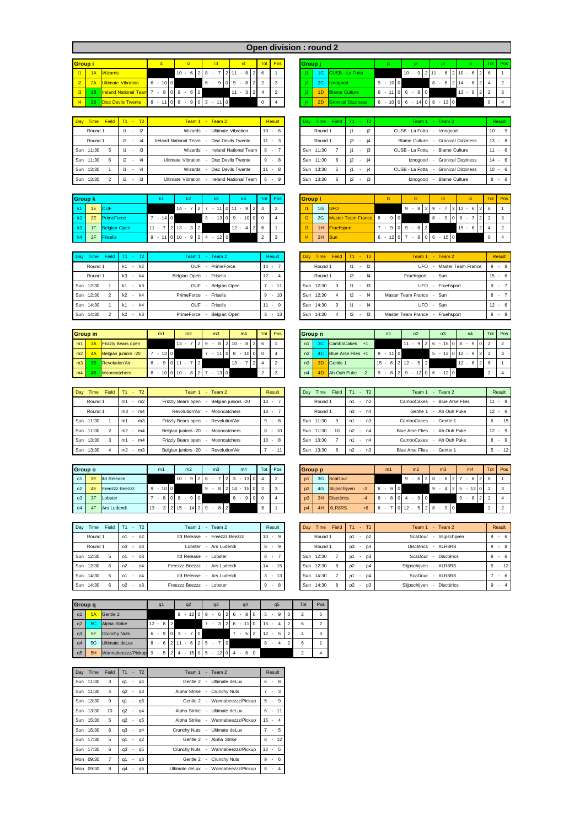|  | <b>Open division : round :</b> |  |  |
|--|--------------------------------|--|--|
|  |                                |  |  |

| <b>Group i</b> |    |                              |   | i1 |        |    | i2     |   |                |   | i3 |    |    |                          | i4 |                | Tot            | Pos |
|----------------|----|------------------------------|---|----|--------|----|--------|---|----------------|---|----|----|----|--------------------------|----|----------------|----------------|-----|
| i1             | 1A | <b>Wizards</b>               |   |    |        | 10 | $\sim$ | 6 |                | 8 |    |    | 11 | $\overline{\phantom{a}}$ | 8  | $\mathfrak{p}$ | 6              |     |
| i <sub>2</sub> | 2A | Ultimate Vibration           | 6 |    | $-100$ |    |        |   |                | 6 | ٠  | 9  | 9  | ٠                        | 8  | $\mathfrak{p}$ | $\mathfrak{p}$ | 3   |
| i3             | 1B | <b>Ireland National Team</b> |   | ۰  | 8      | 9  | ٠      | 6 | $\overline{2}$ |   |    |    |    |                          | 3  | 2              | 4              | ◠   |
| i4             | 2B | <b>Disc Devils Twente</b>    | 8 |    |        | 8  | ٠      | 9 | 0              | 3 | ٠  | 11 |    |                          |    |                | $\Omega$       |     |

| Day Time  | Field T1 - T2 |    |        |           | Team 1 - Team 2                               | Result   | Dav<br><b>Time</b> |    | Field $T1 - T2$                | Team 1 - Team 2                      | Result   |
|-----------|---------------|----|--------|-----------|-----------------------------------------------|----------|--------------------|----|--------------------------------|--------------------------------------|----------|
| Round 1   |               |    |        | $-$ i2    | - Ultimate Vibration<br>Wizards               | $10 - 6$ | Round 1            | i1 | i2<br>$\sim$                   | CUSB - La Fotta - Iznogood           | $10 - 9$ |
| Round 1   |               |    |        | $i3 - i4$ | Ireland National Team - Disc Devils Twente    | $11 - 3$ | Round 1            | i3 | i4<br>$\sim$                   | Blame Culture - Gronical Dizziness   | $13 - 8$ |
| Sun 11:30 |               |    | $\sim$ | i3        | - Ireland National Team<br>Wizards            | 8 -      | Sun 11:30          |    | i3<br>$\overline{\phantom{a}}$ | CUSB - La Fotta - Blame Culture      | $11 - 6$ |
| Sun 11:30 |               | i2 | $\sim$ | i4        | - Disc Devils Twente<br>Ultimate Vibration    | $9 - 8$  | Sun 11:30<br>8     | i2 | i4<br>$\overline{\phantom{a}}$ | Iznogood - Gronical Dizziness        | $14 - 6$ |
| Sun 13:30 |               |    | $\sim$ | i4        | - Disc Devils Twente<br>Wizards               | $11 - 8$ | Sun 13:30          |    | i4<br>$\overline{\phantom{a}}$ | CUSB - La Fotta - Gronical Dizziness | $10 - 6$ |
| Sun 13:30 |               | i2 |        | $ i3$     | - Ireland National Team<br>Ultimate Vibration | $6 - 9$  | Sun 13:30<br>6     | i2 | i3<br>$\overline{\phantom{a}}$ | - Blame Culture<br>Iznogood          | $8 - 6$  |

| <b>Group k</b> |           |                 |          | k2.                                                                  | k4                                             | Tot Pos | <b>Group I</b> |                               |                                                                 |                | 13 |                                | Tot P |  |
|----------------|-----------|-----------------|----------|----------------------------------------------------------------------|------------------------------------------------|---------|----------------|-------------------------------|-----------------------------------------------------------------|----------------|----|--------------------------------|-------|--|
|                | k1 1E OUF |                 |          |                                                                      | $14 - 7$   2   7 $-$ 11   0   11 $-$ 9   2   4 |         |                | 1G UFO                        |                                                                 |                |    | $9 - 8$ 2 9 - 7 2 12 - 6 2 6 1 |       |  |
| k2             |           | 2E PrimeForce   | $-14$ 0  |                                                                      | $3 - 13$ 0 9 - 10 0 0                          |         |                | 2G Master Team France 8 - 9 0 |                                                                 |                |    | $8 - 908 - 722$                |       |  |
| k3             |           | 1F Belgian Open | $11 - 7$ | $2 \t13 - 3 \t2$                                                     | $12 - 4$   2   6                               |         |                | 1H Fruehsport                 |                                                                 | $7 - 909 - 82$ |    | $15 - 6$ 2 4                   |       |  |
| k4             |           | 2F Friselis     |          | $9 - 11 \begin{bmatrix} 0 & 10 & -9 & 2 & 4 & -12 & 0 \end{bmatrix}$ |                                                |         |                | $2H$ Sun                      | $6 - 12 \begin{bmatrix} 0 & 7 & -8 & 0 & 6 & -15 \end{bmatrix}$ |                |    |                                |       |  |

| Day Time Field T1 - T2                |             | Team 1 - Team 2              | Result     | Time Field T1 - T2<br>Dav |                                | Team 1 - Team 2                 | Result |
|---------------------------------------|-------------|------------------------------|------------|---------------------------|--------------------------------|---------------------------------|--------|
| Round 1                               | $-k2$<br>k1 | <b>OUF</b><br>- PrimeForce   | $14 -$     | Round 1                   | $\overline{2}$<br>11<br>$\sim$ | - Master Team France<br>UFO     | $9 -$  |
| Round 1                               | k3 - k4     | Belgian Open - Friselis      | $12 - 4$   | Round 1                   | $-14$<br>$\mathsf{I}3$         | Fruehsport - Sun                | $15 -$ |
| Sun 12:30                             | $k1 - k3$   | <b>OUF</b><br>- Belgian Open | $7 - 11$   | Sun 12:30<br>3            | $-13$<br>$\vert$ 11            | UFO<br>- Fruehsport             | 9 -    |
| Sun 12:30<br>$\overline{\phantom{a}}$ | $-k4$<br>k  | PrimeForce - Friselis        | $-10$<br>9 | Sun 12:30                 | 4 <br>12                       | Master Team France - Sun        | 8 -    |
| Sun 14:30                             | $-k4$<br>k1 | - Friselis<br><b>OUF</b>     | $11 - 9$   | Sun 14:30<br>3            | $-14$<br>11                    | UFO - Sun                       | $12 -$ |
| Sun 14:30                             | $-k3$<br>k2 | - Belgian Open<br>PrimeForce | $3 - 13$   | 14:30<br>Sun<br>4         | $\mathbf{13}$<br>12            | Master Team France - Fruehsport | 8 -    |

|                | Group m |                           | m1 |        |                | m <sub>2</sub>        |   |      | m <sub>3</sub> |        |          | m4    |                                      |                | Tot 1 | Pos | Group n        |           |                           | n1        |    | n <sub>2</sub>                |  | n <sub>3</sub> |  | n4                            |               |         | Tot Pos                    |
|----------------|---------|---------------------------|----|--------|----------------|-----------------------|---|------|----------------|--------|----------|-------|--------------------------------------|----------------|-------|-----|----------------|-----------|---------------------------|-----------|----|-------------------------------|--|----------------|--|-------------------------------|---------------|---------|----------------------------|
| m1             | 3A      | <b>Frizzly Bears open</b> |    |        | $13 -$         |                       |   | 12.9 |                |        |          |       | $8 \mid 2 \mid 10 - 8 \mid 2 \mid 6$ |                |       |     | n1             | <b>30</b> | CamboCakes<br>$+1$        |           | 11 |                               |  |                |  | $-9$  2 6 $-15$  0 8 $-9$     |               |         | $\frac{1}{2}$              |
| m <sub>2</sub> | AA      | Belgian juniors -20       |    | $13$ 0 |                |                       |   |      |                |        | $-1108$  | $-10$ |                                      | 0 <sub>0</sub> |       |     | n <sub>2</sub> | 40        | <b>Blue Arse Flies</b> +1 | $9 - 110$ |    |                               |  |                |  | $5 - 12 \cdot 0 \cdot 12 - 9$ | $\mathcal{P}$ |         | $\overline{\phantom{a}}$ 3 |
| m3             | 3B      | Revolution'Air            |    |        | $8 - 9$ 0 11 - |                       | 2 |      |                |        | $13 - 7$ |       |                                      | $\overline{2}$ |       |     | n3             |           | Gentle 1                  | $15 - 6$  |    | $2 \t12 - 5 \t2$              |  |                |  | $12 - 6$                      |               | $2 \ 6$ |                            |
| m4             | 4B.     | Mooncatchers              |    |        |                | $8 - 10$ 0 10 $- 8$ 2 |   |      |                | $13$ 0 |          |       |                                      |                |       | 3   | n4             | 4D        | Ah Ouh Puke               | $9 - 8$   |    | $2 \ 9 - 12 \ 0 \ 6 - 12 \ 0$ |  |                |  |                               |               | $\sim$  |                            |

| Day | Field<br>Time | T2<br>T1                       | $-$ Team 2<br>Team 1                            | Result     | Field<br>Dav<br>Time | T <sub>2</sub><br>T1     | Team 2<br>Team 1<br>۰.                       | Result  |
|-----|---------------|--------------------------------|-------------------------------------------------|------------|----------------------|--------------------------|----------------------------------------------|---------|
|     | Round 1       | m2<br>m1<br>$\sim$             | Belgian juniors -20<br>Frizzly Bears open       | $13 -$     | Round 1              | n2<br>n1<br>$\sim$       | <b>CamboCakes</b><br><b>Blue Arse Flies</b>  | $11 -$  |
|     | Round 1       | m <sub>3</sub><br>m4           | Revolution'Air<br>Mooncatchers<br>$\sim$        | $13 -$     | Round 1              | n <sub>3</sub><br>$- n4$ | Gentle 1<br>- Ah Ouh Puke                    | $12 -$  |
|     | Sun 11:30     | m3<br>m1                       | Frizzly Bears open<br>Revolution'Air<br>$\sim$  | -9<br>$-8$ | Sun 11:30<br>Q       | $- n3$<br>n1             | CamboCakes<br>Gentle 1<br>$\sim$             | 6 -     |
|     | Sun 11:30     | m <sub>2</sub><br>m4<br>$\sim$ | Belgian juniors -20<br>Mooncatchers             | $-10$<br>8 | 11:30<br>Sun<br>10   | n <sup>2</sup><br>$- n4$ | - Ah Ouh Puke<br><b>Blue Arse Flies</b>      | $12 -$  |
|     | Sun 13:30     | m4<br>m1<br>$\sim$             | Frizzly Bears open<br>Mooncatchers              | $10 - 8$   | Sun 13:30            | n1<br>$- n4$             | CamboCakes<br>- Ah Ouh Puke                  | 8 -     |
|     | Sun 13:30     | m3<br>m <sub>2</sub>           | Belgian juniors -20<br>Revolution'Air<br>$\sim$ | $-11$      | Sun<br>13:30<br>8    | n2<br>n3<br>$\sim$       | <b>Blue Arse Flies</b><br>Gentle 1<br>$\sim$ | $5 - 7$ |

| Group o        |    |                       |        | m1          |      |                       | m <sub>2</sub> |                |    | m <sub>3</sub> |            |   | m4     |                | Tot I    | Pos | Group p        |    |                   |      |             | m <sub>1</sub> | m <sub>2</sub>       |            | m <sub>3</sub> |            |   | m4     | Tot I          | <b>D</b> |
|----------------|----|-----------------------|--------|-------------|------|-----------------------|----------------|----------------|----|----------------|------------|---|--------|----------------|----------|-----|----------------|----|-------------------|------|-------------|----------------|----------------------|------------|----------------|------------|---|--------|----------------|----------|
| $^{\circ}$     | 3E | <b>Id Release</b>     |        |             |      | $10 - 9$ 2 8          |                |                |    |                |            | 3 | $\sim$ | $13$ 0         |          |     | p1             |    | 3G ScaDour        |      |             |                | 9<br>-6<br>$\sim$    |            | 6              |            |   |        | 6              |          |
| 0 <sup>2</sup> | 4E | <b>Freezzz Beezzz</b> |        | $\sim$      | 10 0 |                       |                |                | -9 | 8              |            |   |        | $214 - 150$    |          |     | D <sup>2</sup> |    | 4G Slijpschijven  | $-2$ | 6           | 9 0            |                      | $9 -$      | 4              | $2 \mid 5$ |   | $12$ 0 | $\overline{2}$ |          |
| O <sub>3</sub> |    | Lobster               |        | 8<br>$\sim$ |      | 0 <sub>8</sub>        | $\sim$         | $\overline{0}$ |    |                |            |   | $8 -$  | 9 <sub>0</sub> | $\Omega$ |     | D <sub>3</sub> | 3H | <b>Disctèrics</b> | $-4$ | 6<br>$\sim$ | 80             | $-90$                |            |                |            | 9 |        | $\overline{2}$ |          |
| 04             | 4F | Ars Ludendi           | $13 -$ |             |      | $2 \t15 - 14 \t2 \t9$ |                |                |    |                | $8 \mid 2$ |   |        |                | 6        |     | p4             | 4H | XLR8RS            | $+6$ | 6 -         |                | $0 \mid 12 - 5 \mid$ | $2 \mid 8$ | $-90$          |            |   |        |                |          |

| Field<br>Day<br>Time | T2<br>$T1 -$             | Team 1 - Team 2                 | Result    | Field<br>Day Time | $- T2$<br>T1            | Team 1 - Team 2            | Result |
|----------------------|--------------------------|---------------------------------|-----------|-------------------|-------------------------|----------------------------|--------|
| Round 1              | $-$ 02<br>01             | Itd Release<br>- Freezzz Beezzz | $10 - 9$  | Round 1           | $-D2$<br>D <sub>1</sub> | ScaDour - Slijpschijven    | $9 -$  |
| Round 1              | $03 - 04$                | Lobster - Ars Ludendi           | $8 - 9$   | Round 1           | <sub>D</sub> 3<br>$-D4$ | Disctèrics - XLR8RS        | $9 -$  |
| Sun 12:30<br>5       | $-$ 03<br>01             | Itd Release - Lobster           | $8 - 7$   | Sun 12:30         | $-D3$<br>D <sub>1</sub> | ScaDour - Disctèrics       | 8 -    |
| Sun 12:30<br>6       | 0 <sup>2</sup><br>$-$ 04 | Freezzz Beezzz - Ars Ludendi    | $14 - 15$ | Sun 12:30<br>8    | D <sup>2</sup><br>$ p4$ | Slijpschijven - XLR8RS     | $5 -$  |
| Sun 14:30<br>5       | $-$ 04<br>01             | Itd Release - Ars Ludendi       | $3 - 13$  | Sun 14:30         | D <sub>1</sub><br>$-D4$ | ScaDour - XLR8RS           | $\sim$ |
| Sun 14:30<br>6       | $- 03$<br>0 <sup>2</sup> | Freezzz Beezzz - Lobster        | $9 - 8$   | Sun 14:30<br>8    | D <sub>2</sub><br>$ p3$ | Slijpschijven - Disctèrics | $9 -$  |
|                      |                          |                                 |           |                   |                         |                            |        |

|                 |                                               |           |                |                               |                     |              |                | Open division: round 2 |    |                           |           |                               |   |                                                  |            |         |
|-----------------|-----------------------------------------------|-----------|----------------|-------------------------------|---------------------|--------------|----------------|------------------------|----|---------------------------|-----------|-------------------------------|---|--------------------------------------------------|------------|---------|
| Group i         |                                               |           | i2             | i3                            | i4                  |              | Tot Pos        | Group i                |    |                           |           |                               |   |                                                  |            | Tot Pos |
| $11-1$          | 1A Wizards                                    |           | $10 - 6$       | $2$   8<br>$\sim$             | $7 2 11 \cdot 8 26$ |              |                |                        |    | 1C CUSB - La Fotta        |           | $10 - 9$                      |   | $2 \mid 11 - 6 \mid 2 \mid 10 - 6 \mid 2 \mid 6$ |            |         |
| 12              | 2A Ultimate Vibration                         | $6 - 100$ |                | $6 - 9$                       | $0.9 - 8.2$ 2       |              | 3              |                        | 2C | Iznogood                  | $9 - 100$ |                               | 8 | $-6$   2   14 $-6$   2   4                       |            |         |
| 3               | 1B <b>Ireland National Team</b> 7 - 8 0 9 - 6 |           | $\overline{2}$ |                               | $11 - 3$   2   4    |              | $\overline{2}$ |                        |    | 1D Blame Culture          |           | $6 - 11$ 0 6 $- 8$ 0          |   | $13 - 8$ 2 2                                     |            |         |
| $\vert 4 \vert$ | 2B Disc Devils Twente                         |           |                | $8 - 11$ 0 $8 - 9$ 0 3 - 11 0 |                     | $\mathbf{0}$ | $\overline{4}$ |                        | 2D | <b>Gronical Dizziness</b> | $6 - 10$  | $0 \t6 - 14 \t0 \t8 - 13 \t0$ |   |                                                  | $^{\circ}$ |         |

| Time Field T1 - T2 |                    | Team 1 - Team 2                               | <b>Result</b> | Day Time Field T1 - T2 |                                | Team 1 - Team 2                              | Result     |
|--------------------|--------------------|-----------------------------------------------|---------------|------------------------|--------------------------------|----------------------------------------------|------------|
| Round 1            | i2<br>i1           | Ultimate Vibration<br>Wizards                 | 10<br>$-6$    | Round 1                | i2<br>$\sim$                   | CUSB - La Fotta<br>- Iznogood                | $10 - 9$   |
| Round 1            | i4<br>i3           | Ireland National Team<br>- Disc Devils Twente | $11 - 3$      | Round 1                | i3<br>i4<br>$\sim$             | <b>Blame Culture</b><br>- Gronical Dizziness | $13 - 8$   |
| 11:30              | i3<br>i1           | <b>Ireland National Team</b><br>Wizards       | 8<br>$\sim$   | Sun 11:30              | i3<br>$\sim$                   | CUSB - La Fotta<br>- Blame Culture           | $-6$<br>11 |
| 11:30<br>6         | i2<br>i4<br>$\sim$ | Ultimate Vibration<br>- Disc Devils Twente    | $9 - 8$       | Sun 11:30<br>8         | i2<br>i4<br>$\sim$             | - Gronical Dizziness<br>Iznogood             | $14 - 6$   |
| 13:30              | i4                 | Disc Devils Twente<br>Wizards                 | $11 - 8$      | Sun 13:30<br>5.        | i4<br>$\overline{\phantom{a}}$ | CUSB - La Fotta<br>- Gronical Dizziness      | $10 - 6$   |
| 13:30              | i2<br>i3           | - Ireland National Team<br>Ultimate Vibration | 6.<br>$-9$    | 13:30<br>Sun<br>6      | j3<br>i2<br>$\sim$             | <b>Blame Culture</b><br>Iznogood<br>         | $-6$<br>8  |

| Group k |                 | k1                    | k2             | k3                    | k <sub>4</sub>             |    | Tot Pos        | <b>Group I</b> |                               | 12 <sup>2</sup>      | 13       |                | Tot | Pos |
|---------|-----------------|-----------------------|----------------|-----------------------|----------------------------|----|----------------|----------------|-------------------------------|----------------------|----------|----------------|-----|-----|
| k1      | 1E OUF          |                       | $14 -$         | $-11$ 0 11            | $-912$                     |    | $\overline{2}$ |                | 1G UFO                        | $9 - 8$   2   9 -    |          | $2 12 - 6 2 6$ |     |     |
|         | 2E PrimeForce   | $7 - 1400$            |                | $3 - 13$ 0 9 - 10 0 0 |                            |    |                |                | 2G Master Team France 8 - 9 0 |                      | 8<br>908 |                |     |     |
|         | 1F Belgian Open | $11 - 7$   2   13 - 3 | $\overline{2}$ |                       | $4 \overline{2}$<br>$12 -$ | -6 |                |                | 1H Fruehsport                 | $7 - 9 0 9 - 8 2$    |          | $15 - 6$       |     |     |
|         | 2F Friselis     | $9 - 11010 - 9$       |                | $-120$<br>214         |                            |    | 3              |                | 2H Sun                        | $6 - 12$ 0 7 - 8 0 6 | $-150$   |                |     |     |

| Day Time<br>Field | $T1 - T2$                           | Team 1 - Team 2                      | Result       | Day Time                  | Field $T1 - T2$                       | Team 1 - Team 2                 | Result    |
|-------------------|-------------------------------------|--------------------------------------|--------------|---------------------------|---------------------------------------|---------------------------------|-----------|
| Round 1           | k<br>k1<br>$\overline{\phantom{a}}$ | - PrimeForce<br><b>OUF</b>           | 14<br>$\sim$ | Round 1                   | 12<br>11<br>$\sim$                    | UFO<br>- Master Team France     | $9 - 8$   |
| Round 1           | k <sub>3</sub><br>$-k4$             | Belgian Open - Friselis              | 12<br>$-4$   | Round 1                   | $\mathbf{R}$<br> 4<br>$\sim$          | Fruehsport - Sun                | $15 - 6$  |
| Sun 12:30         | k3<br>k1<br>$\sim$                  | - Belgian Open<br><b>OUF</b>         | $-11$        | Sun 12:30<br>-3           | $\mathsf{I}3$<br>$\vert$ 11<br>$\sim$ | UFO<br>- Fruehsport             | $9 -$     |
| Sun 12:30         | $-k4$<br>k                          | PrimeForce - Friselis                | $-10$<br>9   | Sun 12:30<br>4            | 12<br> 4<br>$\sim$                    | Master Team France - Sun        | $8 - 7$   |
| Sun 14:30         | $-k4$<br>k1                         | - Friselis<br><b>OUF</b>             | 11<br>$-9$   | Sun 14:30<br>$\mathbf{3}$ | 4<br>11<br>$\sim$                     | UFO - Sun                       | $12 - 6$  |
| Sun 14:30         | k3<br>k2<br>$\sim$                  | Belgian Open<br>PrimeForce<br>$\sim$ | 3<br>$-13$   | Sun 14:30<br>$\Delta$     | 12<br>$\mathsf{I}3$<br>$\sim$         | Master Team France - Fruehsport | $-9$<br>8 |

| Group n        |                |                           | n1                |                | n2                                  |                | n <sub>3</sub>        |             | n4 |                | Tot            | Pos |
|----------------|----------------|---------------------------|-------------------|----------------|-------------------------------------|----------------|-----------------------|-------------|----|----------------|----------------|-----|
| n1             | 3C             | <b>CamboCakes</b><br>$+1$ |                   |                | 9                                   | $\mathcal{D}$  | $-15$ 0<br>6          | 8<br>$\sim$ | 9  |                | っ              |     |
| n2             | AC             | Blue Arse Flies +1        | $-110$<br>9       |                |                                     |                | $-12$ 0 12 $-$<br>5   |             | 9  | $\overline{2}$ | $\mathfrak{p}$ | 3   |
| n <sub>3</sub> | 3 <sub>D</sub> | Gentle 1                  | 6<br>15<br>$\sim$ | 2 <sub>1</sub> | $12 - 5$                            | $\overline{2}$ |                       | $12 -$      | 6  | $\mathcal{P}$  | 6              |     |
| n4             | 4D             | Ah Ouh Puke<br>$-2$       | 8<br>9<br>$\sim$  | c              | 12<br>9<br>$\overline{\phantom{a}}$ |                | $12$ 0<br>6<br>$\sim$ |             |    |                | $\mathfrak{p}$ |     |

| Day Time  | Field        | T1             | T2<br>v.       | Team $1 -$ Team $2$                            | Result                  | Field<br>Day<br>Time | $-$ T <sub>2</sub><br>T1 | Team 2<br>Team 1<br><b>Section</b>      | Result     |
|-----------|--------------|----------------|----------------|------------------------------------------------|-------------------------|----------------------|--------------------------|-----------------------------------------|------------|
| Round 1   |              | m1             | m <sub>2</sub> | Frizzly Bears open<br>Belgian juniors -20      | 13<br>$\sim$            | Round 1              | $- n2$<br>n1             | - Blue Arse Flies<br><b>CamboCakes</b>  | $11 - 9$   |
| Round 1   |              | m <sub>3</sub> | $-m4$          | Revolution'Air<br>- Mooncatchers               | 13<br>$\sim$            | Round 1              | n <sub>3</sub><br>$- n4$ | - Ah Ouh Puke<br>Gentle 1               | $12 - 6$   |
| Sun 11:30 |              | m1             | $-m3$          | Frizzly Bears open<br>Revolution'Air<br>$\sim$ | 9<br>$-8$               | Sun 11:30<br>۰q      | $- n3$<br>n1             | CamboCakes<br>- Gentle 1                | $6 - 15$   |
| Sun 11:30 |              | m <sub>2</sub> | $-m4$          | Belgian juniors -20<br>Mooncatchers<br>$\sim$  | $-10$<br>8              | Sun 11:30<br>10      | n <sub>2</sub><br>$- n4$ | <b>Blue Arse Flies</b><br>- Ah Ouh Puke | $12 - 9$   |
| Sun 13:30 | $\mathbf{3}$ | m1             | $-m4$          | Frizzly Bears open<br>Mooncatchers<br>$\sim$   | 10 <sup>1</sup><br>$-8$ | Sun 13:30            | $- n4$<br>n1             | - Ah Ouh Puke<br>CamboCakes             | $8 - 9$    |
| Sun 13:30 |              | m <sub>2</sub> | $-m3$          | Belgian juniors -20<br>- Revolution'Air        | $-11$                   | Sun 13:30<br>8       | n2<br>$- n3$             | Blue Arse Flies - Gentle 1              | $-12$<br>5 |

| Group o        |    |                       | m1                                         | m <sub>2</sub> | m <sub>3</sub>                   | m <sub>4</sub>               |          | Tot Pos        | <b>Group p</b> |    |                          | m1       | m <sub>2</sub>        | m <sub>3</sub> | m4                      | Tot L         | Pos |
|----------------|----|-----------------------|--------------------------------------------|----------------|----------------------------------|------------------------------|----------|----------------|----------------|----|--------------------------|----------|-----------------------|----------------|-------------------------|---------------|-----|
| 01             | 3E | <b>Itd Release</b>    |                                            | $10 - 9$       | $2 \times 8$                     | $2 \times 3 - 13 \times 0$ 4 |          | $\overline{2}$ | p1             |    | 3G ScaDour               |          | $9 - 6$   2   8 $- 6$ | 217            | $6 \mid 2 \mid 6$       |               |     |
| O <sub>2</sub> | 4E | <b>Freezzz Beezzz</b> | $9 - 100$                                  |                | 9                                | $-8$   2   14 $-$ 15   0     | $\Omega$ | $\mathbf{3}$   | D <sub>2</sub> |    | 4G Slijpschijven<br>$-2$ | $6 - 90$ |                       | $9 -$<br>4 I   | $-12$ 0 2<br>$2 \mid 5$ |               |     |
| $\circ$ 3      | 3F | Lobster               | $-808$                                     | $-90$          |                                  | $8 - 900$                    |          |                | D <sub>3</sub> |    | 3H Disctèrics            | 6        | 9 <sup>10</sup>       |                | 8 2<br>-9               | $\mathcal{L}$ |     |
| 04             | 4F | Ars Ludendi           | $13 - 3 \mid 2 \mid 15 - 14 \mid 2 \mid 9$ |                | $\overline{2}$<br>8 <sup>1</sup> |                              | 6        |                | p4             | 4H | XLR8RS<br>$+6$           |          | $12 - 528 - 90$       |                |                         |               |     |

| Day Time<br>Field | $T1 - T2$               | Team 1 - Team 2              | Result                  | Field  <br>Time<br>Day | $T1 - T2$               | Team 1 - Team 2            | Result    |
|-------------------|-------------------------|------------------------------|-------------------------|------------------------|-------------------------|----------------------------|-----------|
| Round 1           | $-$ 02<br>01            | Itd Release - Freezzz Beezzz | 10 <sup>1</sup><br>$-9$ | Round 1                | $-D2$<br>D1             | ScaDour - Slijpschijven    | $9 - 6$   |
| Round 1           | 0 <sup>3</sup><br>$-04$ | Lobster<br>- Ars Ludendi     | 8<br>$-9$               | Round 1                | <sub>D</sub> 3<br>$ p4$ | Disctèrics - XLR8RS        | $9 - 8$   |
| Sun 12:30<br>-5   | $-0.3$<br>01            | Itd Release - Lobster        | 8<br>$\sim$             | Sun 12:30              | $-D3$<br>D1             | ScaDour - Disctèrics       | $8 - 6$   |
| Sun 12:30<br>6    | 0 <sup>2</sup><br>$-04$ | Freezzz Beezzz - Ars Ludendi | 14<br>$-15$             | Sun 12:30<br>8         | D <sup>2</sup><br>$ p4$ | Slijpschijven - XLR8RS     | $5 - 12$  |
| Sun 14:30<br>-5   | 01<br>$-04$             | Itd Release - Ars Ludendi    | 3<br>$-13$              | Sun 14:30              | $-D4$<br><sub>D1</sub>  | ScaDour - XLR8RS           | $-6$      |
| Sun 14:30<br>6    | 02<br>$-03$             | Freezzz Beezzz - Lobster     | 9<br>$-8$               | Sun 14:30<br>8         | p <sub>2</sub><br>$-p3$ | Slijpschijven - Disctèrics | 9<br>$-4$ |

| Group q |    |                      |        | q1                       |   |                |            | q2     |           |                |    | q <sub>3</sub> |             |               |                | q4                       |     |    |                          | q5 | Tot            | Pos            |
|---------|----|----------------------|--------|--------------------------|---|----------------|------------|--------|-----------|----------------|----|----------------|-------------|---------------|----------------|--------------------------|-----|----|--------------------------|----|----------------|----------------|
| q1      | 5A | Gentle 2             |        |                          |   |                | 8          |        | $12$ 0 9  |                |    | $\sim$         | 6           | $\mathcal{P}$ | 6              | $\sim$                   | 80  | 5  | ٠                        | 9  | $\mathfrak{p}$ | 5              |
| q2      | 5C | Alpha Strike         | $12 -$ |                          | 8 | $\overline{2}$ |            |        |           |                |    |                | $3^{\circ}$ |               | 6              | $-110$                   |     | 15 | ٠                        | 4  | 6              | $\overline{2}$ |
| q3      | 5F | <b>Crunchy Nuts</b>  | 6      | $\overline{\phantom{a}}$ | 9 | $\circ$        | 3          | $\sim$ |           | $\overline{0}$ |    |                |             |               |                | $\overline{\phantom{a}}$ | 5 2 | 12 | ٠                        | 5  | 4              | 3              |
| q4      | 5G | Ultimate deLux       | 8      |                          | 6 | $\overline{2}$ | 11         | $\sim$ | 6         | 2              | .5 | $-710$         |             |               |                |                          |     | 8  | $\overline{\phantom{a}}$ | 4  | 6              |                |
| q5      | 5H | Wannabeezzz/Pickup 9 |        | $\sim$                   | 5 |                | $2 \mid 4$ |        | $-15$ 0 5 |                |    | $-12$          |             | $\circ$       | $\overline{4}$ | $\sim$                   | 8 0 |    |                          |    |                | 4              |

| Day Time  | Field          |        |        | $T1 - T2$ | Team 1 - Team 2 |                                     | Result                        |
|-----------|----------------|--------|--------|-----------|-----------------|-------------------------------------|-------------------------------|
| Sun 11:30 | 3              |        |        | $q1 - q4$ |                 | Gentle 2 - Ultimate del ux          | $-8$<br>6                     |
| Sun 11:30 | 4              | q2 -   |        | q3        |                 | Alpha Strike - Crunchy Nuts         | $-3$                          |
| Sun 13:30 | 9              |        |        | q1 - q5   |                 | Gentle 2 - Wannabeezzz/Pickup       | $-9$<br>5                     |
| Sun 13:30 | 10             |        |        | $q2 - q4$ |                 | Alpha Strike - Ultimate deLux       | $6 - 11$                      |
| Sun 15:30 | 5              | q2 -   |        | q5        |                 | Alpha Strike - Wannabeezzz/Pickup   | $15 - 4$                      |
| Sun 15:30 | 6              |        |        | q3 - q4   |                 | Crunchy Nuts - Ultimate deLux       | $-5$                          |
| Sun 17:30 | 5              |        |        | $q1 - q2$ |                 | Gentle 2 - Alpha Strike             | $8 - 12$                      |
| Sun 17:30 | 6              | $a3 -$ |        | q5        |                 | Crunchy Nuts - Wannabeezzz/Pickup   | $12 - 5$                      |
| Mon 09:30 | $\overline{7}$ |        |        | $q1 - q3$ |                 | Gentle 2 - Crunchy Nuts             | $9 - 6$                       |
| Mon 09:30 | 8              | q4     | $\sim$ | a5        |                 | Ultimate deLux - Wannabeezzz/Pickup | 8<br>$\overline{4}$<br>$\sim$ |